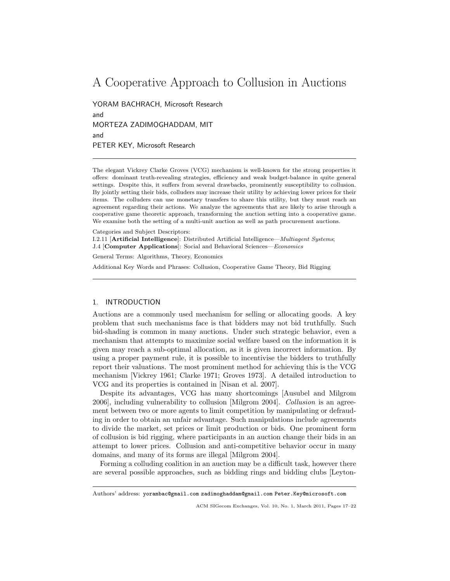# A Cooperative Approach to Collusion in Auctions

YORAM BACHRACH, Microsoft Research and MORTEZA ZADIMOGHADDAM, MIT and PETER KEY, Microsoft Research

The elegant Vickrey Clarke Groves (VCG) mechanism is well-known for the strong properties it offers: dominant truth-revealing strategies, efficiency and weak budget-balance in quite general settings. Despite this, it suffers from several drawbacks, prominently susceptibility to collusion. By jointly setting their bids, colluders may increase their utility by achieving lower prices for their items. The colluders can use monetary transfers to share this utility, but they must reach an agreement regarding their actions. We analyze the agreements that are likely to arise through a cooperative game theoretic approach, transforming the auction setting into a cooperative game. We examine both the setting of a multi-unit auction as well as path procurement auctions.

Categories and Subject Descriptors:

I.2.11 [Artificial Intelligence]: Distributed Artificial Intelligence—Multiagent Systems; J.4 [Computer Applications]: Social and Behavioral Sciences—Economics

General Terms: Algorithms, Theory, Economics

Additional Key Words and Phrases: Collusion, Cooperative Game Theory, Bid Rigging

## 1. INTRODUCTION

Auctions are a commonly used mechanism for selling or allocating goods. A key problem that such mechanisms face is that bidders may not bid truthfully. Such bid-shading is common in many auctions. Under such strategic behavior, even a mechanism that attempts to maximize social welfare based on the information it is given may reach a sub-optimal allocation, as it is given incorrect information. By using a proper payment rule, it is possible to incentivise the bidders to truthfully report their valuations. The most prominent method for achieving this is the VCG mechanism [Vickrey 1961; Clarke 1971; Groves 1973]. A detailed introduction to VCG and its properties is contained in [Nisan et al. 2007].

Despite its advantages, VCG has many shortcomings [Ausubel and Milgrom 2006], including vulnerability to collusion [Milgrom 2004]. Collusion is an agreement between two or more agents to limit competition by manipulating or defrauding in order to obtain an unfair advantage. Such manipulations include agreements to divide the market, set prices or limit production or bids. One prominent form of collusion is bid rigging, where participants in an auction change their bids in an attempt to lower prices. Collusion and anti-competitive behavior occur in many domains, and many of its forms are illegal [Milgrom 2004].

Forming a colluding coalition in an auction may be a difficult task, however there are several possible approaches, such as bidding rings and bidding clubs [Leyton-

Authors' address: yorambac@gmail.com zadimoghaddam@gmail.com Peter.Key@microsoft.com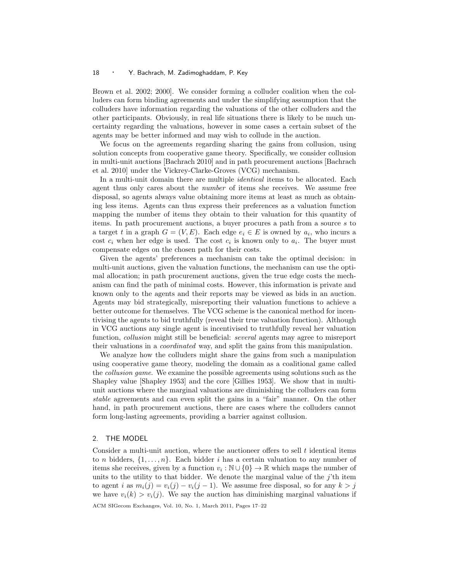#### 18 • Y. Bachrach, M. Zadimoghaddam, P. Key

Brown et al. 2002; 2000]. We consider forming a colluder coalition when the colluders can form binding agreements and under the simplifying assumption that the colluders have information regarding the valuations of the other colluders and the other participants. Obviously, in real life situations there is likely to be much uncertainty regarding the valuations, however in some cases a certain subset of the agents may be better informed and may wish to collude in the auction.

We focus on the agreements regarding sharing the gains from collusion, using solution concepts from cooperative game theory. Specifically, we consider collusion in multi-unit auctions [Bachrach 2010] and in path procurement auctions [Bachrach et al. 2010] under the Vickrey-Clarke-Groves (VCG) mechanism.

In a multi-unit domain there are multiple *identical* items to be allocated. Each agent thus only cares about the number of items she receives. We assume free disposal, so agents always value obtaining more items at least as much as obtaining less items. Agents can thus express their preferences as a valuation function mapping the number of items they obtain to their valuation for this quantity of items. In path procurement auctions, a buyer procures a path from a source s to a target t in a graph  $G = (V, E)$ . Each edge  $e_i \in E$  is owned by  $a_i$ , who incurs a cost  $c_i$  when her edge is used. The cost  $c_i$  is known only to  $a_i$ . The buyer must compensate edges on the chosen path for their costs.

Given the agents' preferences a mechanism can take the optimal decision: in multi-unit auctions, given the valuation functions, the mechanism can use the optimal allocation; in path procurement auctions, given the true edge costs the mechanism can find the path of minimal costs. However, this information is private and known only to the agents and their reports may be viewed as bids in an auction. Agents may bid strategically, misreporting their valuation functions to achieve a better outcome for themselves. The VCG scheme is the canonical method for incentivising the agents to bid truthfully (reveal their true valuation function). Although in VCG auctions any single agent is incentivised to truthfully reveal her valuation function, *collusion* might still be beneficial: *several* agents may agree to misreport their valuations in a coordinated way, and split the gains from this manipulation.

We analyze how the colluders might share the gains from such a manipulation using cooperative game theory, modeling the domain as a coalitional game called the collusion game. We examine the possible agreements using solutions such as the Shapley value [Shapley 1953] and the core [Gillies 1953]. We show that in multiunit auctions where the marginal valuations are diminishing the colluders can form stable agreements and can even split the gains in a "fair" manner. On the other hand, in path procurement auctions, there are cases where the colluders cannot form long-lasting agreements, providing a barrier against collusion.

#### 2. THE MODEL

Consider a multi-unit auction, where the auctioneer offers to sell  $t$  identical items to *n* bidders,  $\{1, \ldots, n\}$ . Each bidder *i* has a certain valuation to any number of items she receives, given by a function  $v_i : \mathbb{N} \cup \{0\} \to \mathbb{R}$  which maps the number of units to the utility to that bidder. We denote the marginal value of the  $j$ 'th item to agent i as  $m_i(i) = v_i(i) - v_i(i-1)$ . We assume free disposal, so for any  $k > i$ we have  $v_i(k) > v_i(j)$ . We say the auction has diminishing marginal valuations if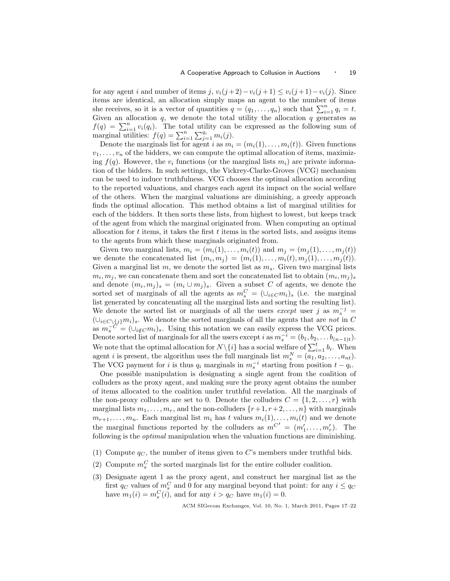for any agent i and number of items j,  $v_i(j+2)-v_i(j+1) \le v_i(j+1)-v_i(j)$ . Since items are identical, an allocation simply maps an agent to the number of items she receives, so it is a vector of quantities  $q = (q_1, \ldots, q_n)$  such that  $\sum_{i=1}^n q_i = t$ . Given an allocation  $q$ , we denote the total utility the allocation  $q$  generates as  $f(q) = \sum_{i=1}^{n} v_i(q_i)$ . The total utility can be expressed as the following sum of marginal utilities:  $f(q) = \sum_{i=1}^{n} \sum_{j=1}^{q_i} m_i(j)$ .

Denote the marginals list for agent i as  $m_i = (m_i(1), \ldots, m_i(t))$ . Given functions  $v_1, \ldots, v_n$  of the bidders, we can compute the optimal allocation of items, maximizing  $f(q)$ . However, the  $v_i$  functions (or the marginal lists  $m_i$ ) are private information of the bidders. In such settings, the Vickrey-Clarke-Groves (VCG) mechanism can be used to induce truthfulness. VCG chooses the optimal allocation according to the reported valuations, and charges each agent its impact on the social welfare of the others. When the marginal valuations are diminishing, a greedy approach finds the optimal allocation. This method obtains a list of marginal utilities for each of the bidders. It then sorts these lists, from highest to lowest, but keeps track of the agent from which the marginal originated from. When computing an optimal allocation for t items, it takes the first t items in the sorted lists, and assigns items to the agents from which these marginals originated from.

Given two marginal lists,  $m_i = (m_i(1), \ldots, m_i(t))$  and  $m_j = (m_j(1), \ldots, m_j(t))$ we denote the concatenated list  $(m_i, m_j) = (m_i(1), \ldots, m_i(t), m_j(1), \ldots, m_j(t)).$ Given a marginal list m, we denote the sorted list as  $m<sub>s</sub>$ . Given two marginal lists  $(m_i, m_j)$ , we can concatenate them and sort the concatenated list to obtain  $(m_i, m_j)$ , and denote  $(m_i, m_j)_s = (m_i \cup m_j)_s$ . Given a subset C of agents, we denote the sorted set of marginals of all the agents as  $m_s^C = (\cup_{i \in C} m_i)_s$  (i.e. the marginal list generated by concatenating all the marginal lists and sorting the resulting list). We denote the sorted list or marginals of all the users *except* user j as  $m_s^{-j}$  =  $(\cup_{i\in C\setminus\{j\}}m_i)_s$ . We denote the sorted marginals of all the agents that are not in C as  $m_s^{-C} = (\cup_{i \notin C} m_i)_s$ . Using this notation we can easily express the VCG prices. Denote sorted list of marginals for all the users except i as  $m_s^{-i} = (b_1, b_2, \ldots b_{(n-1)t}).$ We note that the optimal allocation for  $N \setminus \{i\}$  has a social welfare of  $\sum_{i=1}^{t} b_i$ . When agent *i* is present, the algorithm uses the full marginals list  $m_s^N = (a_1, a_2, \dots, a_{nt})$ . The VCG payment for i is thus  $q_i$  marginals in  $m_s^{-i}$  starting from position  $t - q_i$ .

One possible manipulation is designating a single agent from the coalition of colluders as the proxy agent, and making sure the proxy agent obtains the number of items allocated to the coalition under truthful revelation. All the marginals of the non-proxy colluders are set to 0. Denote the colluders  $C = \{1, 2, \ldots, r\}$  with marginal lists  $m_1, \ldots, m_r$ , and the non-colluders  $\{r+1, r+2, \ldots, n\}$  with marginals  $m_{r+1}, \ldots, m_n$ . Each marginal list  $m_i$  has t values  $m_i(1), \ldots, m_i(t)$  and we denote the marginal functions reported by the colluders as  $m^{C'} = (m'_1, \ldots, m'_r)$ . The following is the optimal manipulation when the valuation functions are diminishing.

- (1) Compute  $q_C$ , the number of items given to C's members under truthful bids.
- (2) Compute  $m_s^C$  the sorted marginals list for the entire colluder coalition.
- (3) Designate agent 1 as the proxy agent, and construct her marginal list as the first  $q_C$  values of  $m_s^C$  and 0 for any marginal beyond that point: for any  $i \leq q_C$ have  $m_1(i) = m_s^C(i)$ , and for any  $i > q_C$  have  $m_1(i) = 0$ .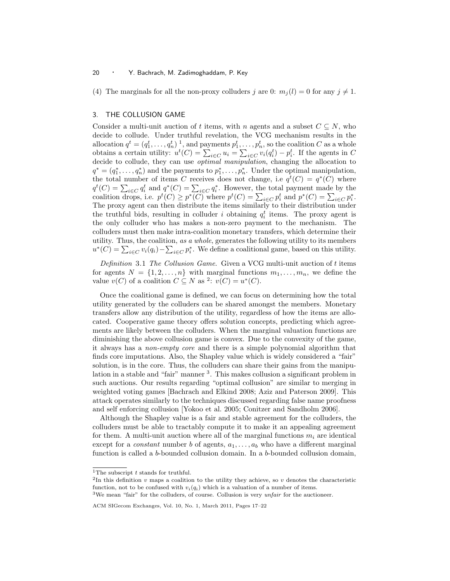(4) The marginals for all the non-proxy colluders j are 0:  $m_i(l) = 0$  for any  $j \neq 1$ .

## 3. THE COLLUSION GAME

Consider a multi-unit auction of t items, with n agents and a subset  $C \subseteq N$ , who decide to collude. Under truthful revelation, the VCG mechanism results in the allocation  $q^t = (q_1^t, \ldots, q_n^t)^{-1}$ , and payments  $p_1^t, \ldots, p_n^t$ , so the coalition  $C$  as a whole obtains a certain utility:  $u^t(C) = \sum_{i \in C} u_i = \sum_{i \in C} v_i(q_i^t) - p_i^t$ . If the agents in C decide to collude, they can use *optimal manipulation*, changing the allocation to  $q^* = (q_1^*, \ldots, q_n^*)$  and the payments to  $p_1^*, \ldots, p_n^*$ . Under the optimal manipulation, the total number of items C receives does not change, i.e  $q^t(C) = q^*(C)$  where  $q^t(C) = \sum_{i \in C} q_i^t$  and  $q^*(C) = \sum_{i \in C} q_i^*$ . However, the total payment made by the coalition drops, i.e.  $p^t(C) \geq p^*(C)$  where  $p^t(C) = \sum_{i \in C} p_i^t$  and  $p^*(C) = \sum_{i \in C} p_i^*$ . The proxy agent can then distribute the items similarly to their distribution under the truthful bids, resulting in colluder i obtaining  $q_i^t$  items. The proxy agent is the only colluder who has makes a non-zero payment to the mechanism. The colluders must then make intra-coalition monetary transfers, which determine their utility. Thus, the coalition, as a whole, generates the following utility to its members  $u^*(C) = \sum_{i \in C} v_i(q_i) - \sum_{i \in C} p_i^*$ . We define a coalitional game, based on this utility.

Definition 3.1 The Collusion Game. Given a VCG multi-unit auction of  $t$  items for agents  $N = \{1, 2, ..., n\}$  with marginal functions  $m_1, ..., m_n$ , we define the value  $v(C)$  of a coalition  $C \subseteq N$  as <sup>2</sup>:  $v(C) = u^*(C)$ .

Once the coalitional game is defined, we can focus on determining how the total utility generated by the colluders can be shared amongst the members. Monetary transfers allow any distribution of the utility, regardless of how the items are allocated. Cooperative game theory offers solution concepts, predicting which agreements are likely between the colluders. When the marginal valuation functions are diminishing the above collusion game is convex. Due to the convexity of the game, it always has a non-empty core and there is a simple polynomial algorithm that finds core imputations. Also, the Shapley value which is widely considered a "fair" solution, is in the core. Thus, the colluders can share their gains from the manipulation in a stable and "fair" manner <sup>3</sup>. This makes collusion a significant problem in such auctions. Our results regarding "optimal collusion" are similar to merging in weighted voting games [Bachrach and Elkind 2008; Aziz and Paterson 2009]. This attack operates similarly to the techniques discussed regarding false name proofness and self enforcing collusion [Yokoo et al. 2005; Conitzer and Sandholm 2006].

Although the Shapley value is a fair and stable agreement for the colluders, the colluders must be able to tractably compute it to make it an appealing agreement for them. A multi-unit auction where all of the marginal functions  $m_i$  are identical except for a *constant* number b of agents,  $a_1, \ldots, a_b$  who have a different marginal function is called a b-bounded collusion domain. In a b-bounded collusion domain,

<sup>&</sup>lt;sup>1</sup>The subscript  $t$  stands for truthful.

<sup>&</sup>lt;sup>2</sup>In this definition v maps a coalition to the utility they achieve, so v denotes the characteristic function, not to be confused with  $v_i(q_i)$  which is a valuation of a number of items.  $3$ We mean "fair" for the colluders, of course. Collusion is very *unfair* for the auctioneer.

ACM SIGecom Exchanges, Vol. 10, No. 1, March 2011, Pages 17–22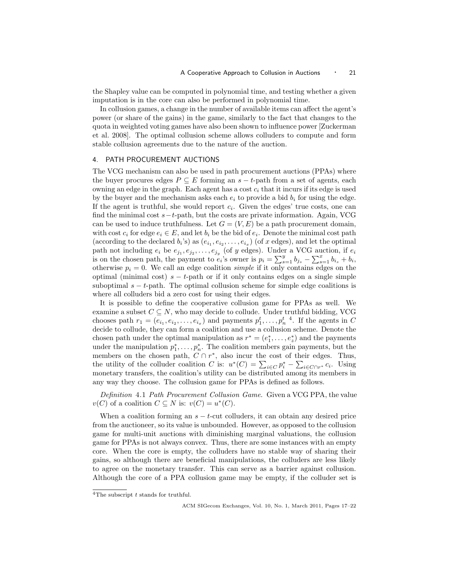the Shapley value can be computed in polynomial time, and testing whether a given imputation is in the core can also be performed in polynomial time.

In collusion games, a change in the number of available items can affect the agent's power (or share of the gains) in the game, similarly to the fact that changes to the quota in weighted voting games have also been shown to influence power [Zuckerman et al. 2008]. The optimal collusion scheme allows colluders to compute and form stable collusion agreements due to the nature of the auction.

## 4. PATH PROCUREMENT AUCTIONS

The VCG mechanism can also be used in path procurement auctions (PPAs) where the buyer procures edges  $P \subseteq E$  forming an  $s - t$ -path from a set of agents, each owning an edge in the graph. Each agent has a cost  $c_i$  that it incurs if its edge is used by the buyer and the mechanism asks each  $e_i$  to provide a bid  $b_i$  for using the edge. If the agent is truthful, she would report  $c_i$ . Given the edges' true costs, one can find the minimal cost  $s-t$ -path, but the costs are private information. Again, VCG can be used to induce truthfulness. Let  $G = (V, E)$  be a path procurement domain, with cost  $c_i$  for edge  $e_i \in E$ , and let  $b_i$  be the bid of  $e_i$ . Denote the minimal cost path (according to the declared  $b_i$ 's) as  $(e_{i_1}, e_{i_2}, \ldots, e_{i_x})$  (of x edges), and let the optimal path not including  $e_i$  be  $e_{j_1}, e_{j_2}, \ldots, e_{j_y}$  (of y edges). Under a VCG auction, if  $e_i$ is on the chosen path, the payment to  $e_i$ 's owner is  $p_i = \sum_{s=1}^y b_{j_s} - \sum_{s=1}^x b_{i_s} + b_i$ , otherwise  $p_i = 0$ . We call an edge coalition *simple* if it only contains edges on the optimal (minimal cost)  $s - t$ -path or if it only contains edges on a single simple suboptimal  $s - t$ -path. The optimal collusion scheme for simple edge coalitions is where all colluders bid a zero cost for using their edges.

It is possible to define the cooperative collusion game for PPAs as well. We examine a subset  $C \subseteq N$ , who may decide to collude. Under truthful bidding, VCG chooses path  $r_1 = (e_{i_1}, e_{i_2}, \ldots, e_{i_x})$  and payments  $p_1^t, \ldots, p_n^{t-4}$ . If the agents in C decide to collude, they can form a coalition and use a collusion scheme. Denote the chosen path under the optimal manipulation as  $r^* = (e_1^*, \ldots, e_z^*)$  and the payments under the manipulation  $p_1^*, \ldots, p_n^*$ . The coalition members gain payments, but the members on the chosen path,  $C \cap r^*$ , also incur the cost of their edges. Thus, the utility of the colluder coalition C is:  $u^*(C) = \sum_{i \in C} p_i^* - \sum_{i \in C \cap r^*} c_i$ . Using monetary transfers, the coalition's utility can be distributed among its members in any way they choose. The collusion game for PPAs is defined as follows.

Definition 4.1 Path Procurement Collusion Game. Given a VCG PPA, the value  $v(C)$  of a coalition  $C \subseteq N$  is:  $v(C) = u^*(C)$ .

When a coalition forming an  $s - t$ -cut colluders, it can obtain any desired price from the auctioneer, so its value is unbounded. However, as opposed to the collusion game for multi-unit auctions with diminishing marginal valuations, the collusion game for PPAs is not always convex. Thus, there are some instances with an empty core. When the core is empty, the colluders have no stable way of sharing their gains, so although there are beneficial manipulations, the colluders are less likely to agree on the monetary transfer. This can serve as a barrier against collusion. Although the core of a PPA collusion game may be empty, if the colluder set is

 ${}^{4}$ The subscript t stands for truthful.

ACM SIGecom Exchanges, Vol. 10, No. 1, March 2011, Pages 17–22